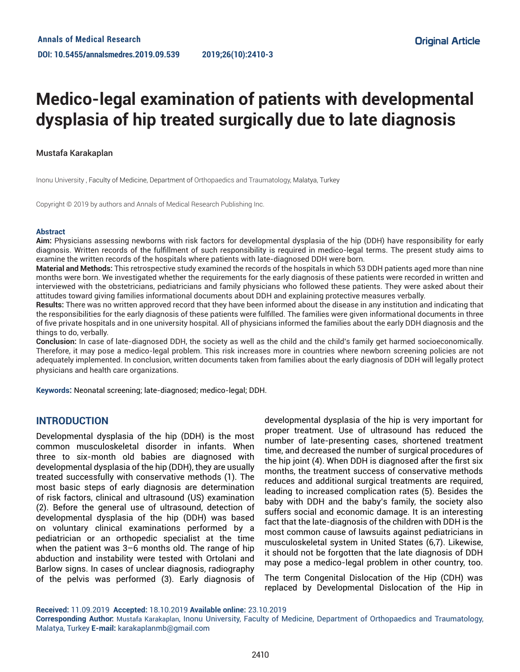# **Medico-legal examination of patients with developmental dysplasia of hip treated surgically due to late diagnosis**

#### Mustafa Karakaplan

Inonu University , Faculty of Medicine, Department of Orthopaedics and Traumatology, Malatya, Turkey

Copyright © 2019 by authors and Annals of Medical Research Publishing Inc.

#### **Abstract**

**Aim:** Physicians assessing newborns with risk factors for developmental dysplasia of the hip (DDH) have responsibility for early diagnosis. Written records of the fulfillment of such responsibility is required in medico-legal terms. The present study aims to examine the written records of the hospitals where patients with late-diagnosed DDH were born.

**Material and Methods:** This retrospective study examined the records of the hospitals in which 53 DDH patients aged more than nine months were born. We investigated whether the requirements for the early diagnosis of these patients were recorded in written and interviewed with the obstetricians, pediatricians and family physicians who followed these patients. They were asked about their attitudes toward giving families informational documents about DDH and explaining protective measures verbally.

**Results:** There was no written approved record that they have been informed about the disease in any institution and indicating that the responsibilities for the early diagnosis of these patients were fulfilled. The families were given informational documents in three of five private hospitals and in one university hospital. All of physicians informed the families about the early DDH diagnosis and the things to do, verbally.

**Conclusion:** In case of late-diagnosed DDH, the society as well as the child and the child's family get harmed socioeconomically. Therefore, it may pose a medico-legal problem. This risk increases more in countries where newborn screening policies are not adequately implemented. In conclusion, written documents taken from families about the early diagnosis of DDH will legally protect physicians and health care organizations.

**Keywords:** Neonatal screening; late-diagnosed; medico-legal; DDH.

#### **INTRODUCTION**

Developmental dysplasia of the hip (DDH) is the most common musculoskeletal disorder in infants. When three to six-month old babies are diagnosed with developmental dysplasia of the hip (DDH), they are usually treated successfully with conservative methods (1). The most basic steps of early diagnosis are determination of risk factors, clinical and ultrasound (US) examination (2). Before the general use of ultrasound, detection of developmental dysplasia of the hip (DDH) was based on voluntary clinical examinations performed by a pediatrician or an orthopedic specialist at the time when the patient was 3–6 months old. The range of hip abduction and instability were tested with Ortolani and Barlow signs. In cases of unclear diagnosis, radiography of the pelvis was performed (3). Early diagnosis of

developmental dysplasia of the hip is very important for proper treatment. Use of ultrasound has reduced the number of late-presenting cases, shortened treatment time, and decreased the number of surgical procedures of the hip joint (4). When DDH is diagnosed after the first six months, the treatment success of conservative methods reduces and additional surgical treatments are required, leading to increased complication rates (5). Besides the baby with DDH and the baby's family, the society also suffers social and economic damage. It is an interesting fact that the late-diagnosis of the children with DDH is the most common cause of lawsuits against pediatricians in musculoskeletal system in United States (6,7). Likewise, it should not be forgotten that the late diagnosis of DDH may pose a medico-legal problem in other country, too.

The term Congenital Dislocation of the Hip (CDH) was replaced by Developmental Dislocation of the Hip in

**Received:** 11.09.2019 **Accepted:** 18.10.2019 **Available online:** 23.10.2019

**Corresponding Author:** Mustafa Karakaplan, Inonu University, Faculty of Medicine, Department of Orthopaedics and Traumatology, Malatya, Turkey **E-mail:** karakaplanmb@gmail.com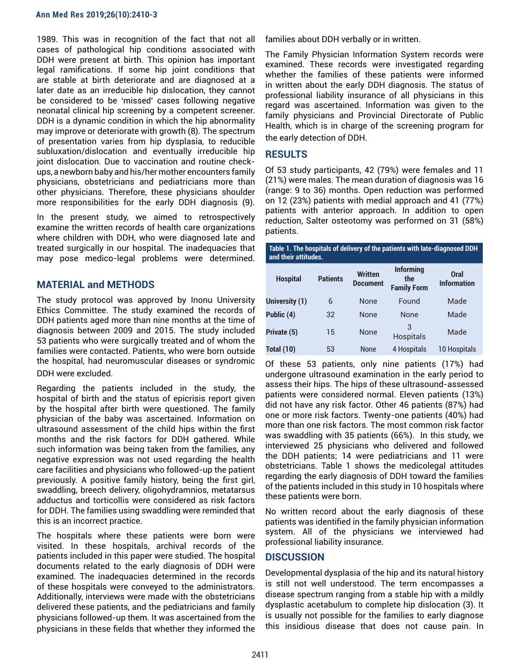1989. This was in recognition of the fact that not all cases of pathological hip conditions associated with DDH were present at birth. This opinion has important legal ramifications. If some hip joint conditions that are stable at birth deteriorate and are diagnosed at a later date as an irreducible hip dislocation, they cannot be considered to be 'missed' cases following negative neonatal clinical hip screening by a competent screener. DDH is a dynamic condition in which the hip abnormality may improve or deteriorate with growth (8). The spectrum of presentation varies from hip dysplasia, to reducible subluxation/dislocation and eventually irreducible hip joint dislocation. Due to vaccination and routine checkups, a newborn baby and his/her mother encounters family physicians, obstetricians and pediatricians more than other physicians. Therefore, these physicians shoulder more responsibilities for the early DDH diagnosis (9).

In the present study, we aimed to retrospectively examine the written records of health care organizations where children with DDH, who were diagnosed late and treated surgically in our hospital. The inadequacies that may pose medico-legal problems were determined.

### **MATERIAL and METHODS**

The study protocol was approved by Inonu University Ethics Committee. The study examined the records of DDH patients aged more than nine months at the time of diagnosis between 2009 and 2015. The study included 53 patients who were surgically treated and of whom the families were contacted. Patients, who were born outside the hospital, had neuromuscular diseases or syndromic DDH were excluded.

Regarding the patients included in the study, the hospital of birth and the status of epicrisis report given by the hospital after birth were questioned. The family physician of the baby was ascertained. Information on ultrasound assessment of the child hips within the first months and the risk factors for DDH gathered. While such information was being taken from the families, any negative expression was not used regarding the health care facilities and physicians who followed-up the patient previously. A positive family history, being the first girl, swaddling, breech delivery, oligohydramnios, metatarsus adductus and torticollis were considered as risk factors for DDH. The families using swaddling were reminded that this is an incorrect practice.

The hospitals where these patients were born were visited. In these hospitals, archival records of the patients included in this paper were studied. The hospital documents related to the early diagnosis of DDH were examined. The inadequacies determined in the records of these hospitals were conveyed to the administrators. Additionally, interviews were made with the obstetricians delivered these patients, and the pediatricians and family physicians followed-up them. It was ascertained from the physicians in these fields that whether they informed the

families about DDH verbally or in written.

The Family Physician Information System records were examined. These records were investigated regarding whether the families of these patients were informed in written about the early DDH diagnosis. The status of professional liability insurance of all physicians in this regard was ascertained. Information was given to the family physicians and Provincial Directorate of Public Health, which is in charge of the screening program for the early detection of DDH.

### **RESULTS**

Of 53 study participants, 42 (79%) were females and 11 (21%) were males. The mean duration of diagnosis was 16 (range: 9 to 36) months. Open reduction was performed on 12 (23%) patients with medial approach and 41 (77%) patients with anterior approach. In addition to open reduction, Salter osteotomy was performed on 31 (58%) patients.

**Table 1. The hospitals of delivery of the patients with late-diagnosed DDH and their attitudes. Hospital Patients Written Document Informing the Family Form Oral Information University (1)** 6 None Found Made **Public (4)** 32 None None Made **Private (5)** <sup>15</sup> None <sup>3</sup> Hospitals Made **Total (10)** 53 None 4 Hospitals 10 Hospitals

Of these 53 patients, only nine patients (17%) had undergone ultrasound examination in the early period to assess their hips. The hips of these ultrasound-assessed patients were considered normal. Eleven patients (13%) did not have any risk factor. Other 46 patients (87%) had one or more risk factors. Twenty-one patients (40%) had more than one risk factors. The most common risk factor was swaddling with 35 patients (66%). In this study, we interviewed 25 physicians who delivered and followed the DDH patients; 14 were pediatricians and 11 were obstetricians. Table 1 shows the medicolegal attitudes regarding the early diagnosis of DDH toward the families of the patients included in this study in 10 hospitals where these patients were born.

No written record about the early diagnosis of these patients was identified in the family physician information system. All of the physicians we interviewed had professional liability insurance.

#### **DISCUSSION**

Developmental dysplasia of the hip and its natural history is still not well understood. The term encompasses a disease spectrum ranging from a stable hip with a mildly dysplastic acetabulum to complete hip dislocation (3). It is usually not possible for the families to early diagnose this insidious disease that does not cause pain. In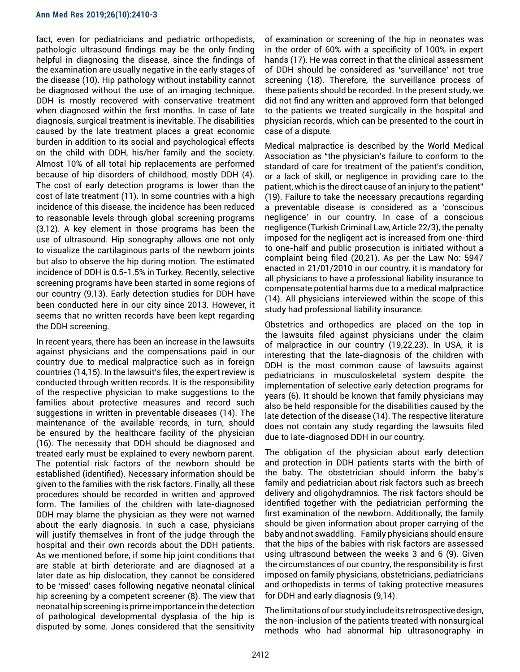fact, even for pediatricians and pediatric orthopedists, pathologic ultrasound findings may be the only finding helpful in diagnosing the disease, since the findings of the examination are usually negative in the early stages of the disease (10). Hip pathology without instability cannot be diagnosed without the use of an imaging technique. DDH is mostly recovered with conservative treatment when diagnosed within the first months. In case of late diagnosis, surgical treatment is inevitable. The disabilities caused by the late treatment places a great economic burden in addition to its social and psychological effects on the child with DDH, his/her family and the society. Almost 10% of all total hip replacements are performed because of hip disorders of childhood, mostly DDH (4). The cost of early detection programs is lower than the cost of late treatment (11). In some countries with a high incidence of this disease, the incidence has been reduced to reasonable levels through global screening programs (3,12). A key element in those programs has been the use of ultrasound. Hip sonography allows one not only to visualize the cartilaginous parts of the newborn joints but also to observe the hip during motion. The estimated incidence of DDH is 0.5-1.5% in Turkey. Recently, selective screening programs have been started in some regions of our country (9,13). Early detection studies for DDH have been conducted here in our city since 2013. However, it seems that no written records have been kept regarding the DDH screening.

In recent years, there has been an increase in the lawsuits against physicians and the compensations paid in our country due to medical malpractice such as in foreign countries (14,15). In the lawsuit's files, the expert review is conducted through written records. It is the responsibility of the respective physician to make suggestions to the families about protective measures and record such suggestions in written in preventable diseases (14). The maintenance of the available records, in turn, should be ensured by the healthcare facility of the physician (16). The necessity that DDH should be diagnosed and treated early must be explained to every newborn parent. The potential risk factors of the newborn should be established (identified). Necessary information should be given to the families with the risk factors. Finally, all these procedures should be recorded in written and approved form. The families of the children with late-diagnosed DDH may blame the physician as they were not warned about the early diagnosis. In such a case, physicians will justify themselves in front of the judge through the hospital and their own records about the DDH patients. As we mentioned before, if some hip joint conditions that are stable at birth deteriorate and are diagnosed at a later date as hip dislocation, they cannot be considered to be 'missed' cases following negative neonatal clinical hip screening by a competent screener (8). The view that neonatal hip screening is prime importance in the detection of pathological developmental dysplasia of the hip is disputed by some. Jones considered that the sensitivity

of examination or screening of the hip in neonates was in the order of 60% with a specificity of 100% in expert hands (17). He was correct in that the clinical assessment of DDH should be considered as 'surveillance' not true screening (18). Therefore, the surveillance process of these patients should be recorded. In the present study, we did not find any written and approved form that belonged to the patients we treated surgically in the hospital and physician records, which can be presented to the court in case of a dispute.

Medical malpractice is described by the World Medical Association as "the physician's failure to conform to the standard of care for treatment of the patient's condition, or a lack of skill, or negligence in providing care to the patient, which is the direct cause of an injury to the patient" (19). Failure to take the necessary precautions regarding a preventable disease is considered as a 'conscious negligence' in our country. In case of a conscious negligence (Turkish Criminal Law, Article 22/3), the penalty imposed for the negligent act is increased from one-third to one-half and public prosecution is initiated without a complaint being filed (20,21). As per the Law No: 5947 enacted in 21/01/2010 in our country, it is mandatory for all physicians to have a professional liability insurance to compensate potential harms due to a medical malpractice (14). All physicians interviewed within the scope of this study had professional liability insurance.

Obstetrics and orthopedics are placed on the top in the lawsuits filed against physicians under the claim of malpractice in our country (19,22,23). In USA, it is interesting that the late-diagnosis of the children with DDH is the most common cause of lawsuits against pediatricians in musculoskeletal system despite the implementation of selective early detection programs for years (6). It should be known that family physicians may also be held responsible for the disabilities caused by the late detection of the disease (14). The respective literature does not contain any study regarding the lawsuits filed due to late-diagnosed DDH in our country.

The obligation of the physician about early detection and protection in DDH patients starts with the birth of the baby. The obstetrician should inform the baby's family and pediatrician about risk factors such as breech delivery and oligohydramnios. The risk factors should be identified together with the pediatrician performing the first examination of the newborn. Additionally, the family should be given information about proper carrying of the baby and not swaddling. Family physicians should ensure that the hips of the babies with risk factors are assessed using ultrasound between the weeks 3 and 6 (9). Given the circumstances of our country, the responsibility is first imposed on family physicians, obstetricians, pediatricians and orthopedists in terms of taking protective measures for DDH and early diagnosis (9,14).

The limitations of our study include its retrospective design, the non-inclusion of the patients treated with nonsurgical methods who had abnormal hip ultrasonography in